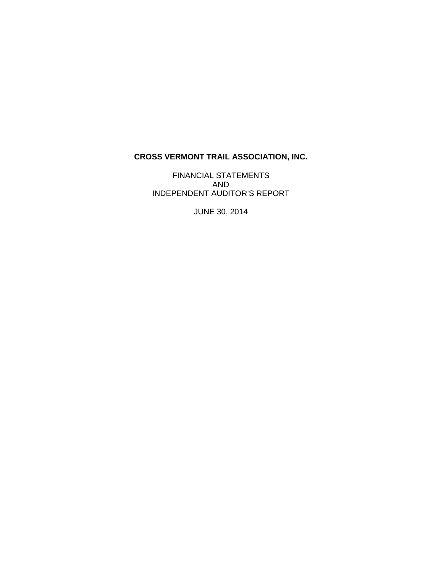# **CROSS VERMONT TRAIL ASSOCIATION, INC.**

FINANCIAL STATEMENTS AND INDEPENDENT AUDITOR'S REPORT

JUNE 30, 2014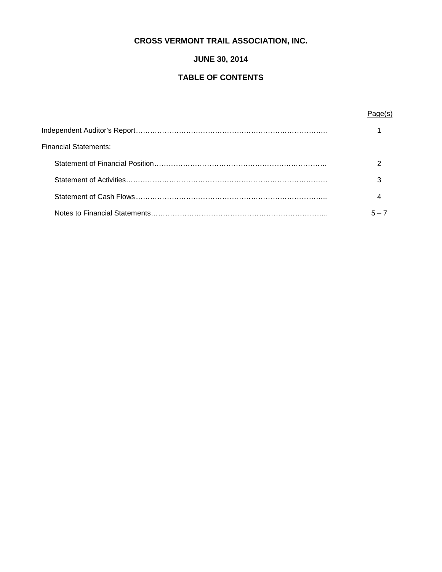# **CROSS VERMONT TRAIL ASSOCIATION, INC.**

# **JUNE 30, 2014**

# **TABLE OF CONTENTS**

# Page(s)

| Financial Statements: |       |  |
|-----------------------|-------|--|
|                       |       |  |
|                       |       |  |
|                       |       |  |
|                       | 5 — 1 |  |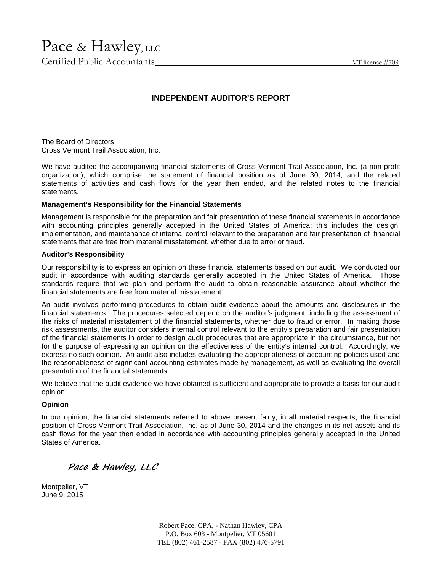# Pace & Hawley, LLC

Certified Public Accountants VT license #709

# **INDEPENDENT AUDITOR'S REPORT**

The Board of Directors Cross Vermont Trail Association, Inc.

We have audited the accompanying financial statements of Cross Vermont Trail Association, Inc. (a non-profit organization), which comprise the statement of financial position as of June 30, 2014, and the related statements of activities and cash flows for the year then ended, and the related notes to the financial statements.

## **Management's Responsibility for the Financial Statements**

Management is responsible for the preparation and fair presentation of these financial statements in accordance with accounting principles generally accepted in the United States of America; this includes the design, implementation, and maintenance of internal control relevant to the preparation and fair presentation of financial statements that are free from material misstatement, whether due to error or fraud.

### **Auditor's Responsibility**

Our responsibility is to express an opinion on these financial statements based on our audit. We conducted our audit in accordance with auditing standards generally accepted in the United States of America. Those standards require that we plan and perform the audit to obtain reasonable assurance about whether the financial statements are free from material misstatement.

An audit involves performing procedures to obtain audit evidence about the amounts and disclosures in the financial statements. The procedures selected depend on the auditor's judgment, including the assessment of the risks of material misstatement of the financial statements, whether due to fraud or error. In making those risk assessments, the auditor considers internal control relevant to the entity's preparation and fair presentation of the financial statements in order to design audit procedures that are appropriate in the circumstance, but not for the purpose of expressing an opinion on the effectiveness of the entity's internal control. Accordingly, we express no such opinion. An audit also includes evaluating the appropriateness of accounting policies used and the reasonableness of significant accounting estimates made by management, as well as evaluating the overall presentation of the financial statements.

We believe that the audit evidence we have obtained is sufficient and appropriate to provide a basis for our audit opinion.

## **Opinion**

In our opinion, the financial statements referred to above present fairly, in all material respects, the financial position of Cross Vermont Trail Association, Inc. as of June 30, 2014 and the changes in its net assets and its cash flows for the year then ended in accordance with accounting principles generally accepted in the United States of America.

*Pace & Hawley, LLC*

Montpelier, VT June 9, 2015

> Robert Pace, CPA, - Nathan Hawley, CPA P.O. Box 603 - Montpelier, VT 05601 TEL (802) 461-2587 - FAX (802) 476-5791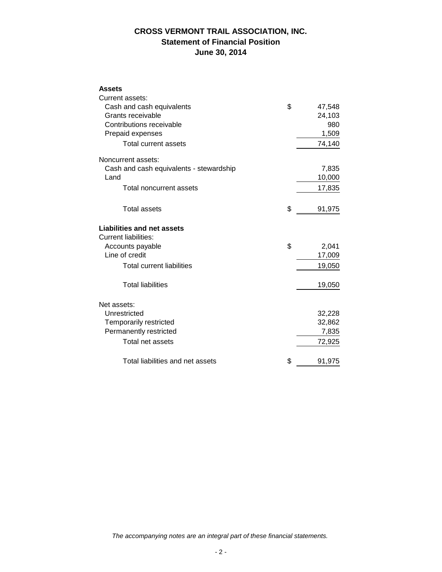# **CROSS VERMONT TRAIL ASSOCIATION, INC. Statement of Financial Position June 30, 2014**

## **Assets**

| Current assets:                         |              |  |
|-----------------------------------------|--------------|--|
| Cash and cash equivalents               | \$<br>47,548 |  |
| Grants receivable                       | 24,103       |  |
| Contributions receivable                | 980          |  |
| Prepaid expenses                        | 1,509        |  |
| <b>Total current assets</b>             | 74,140       |  |
| Noncurrent assets:                      |              |  |
| Cash and cash equivalents - stewardship | 7,835        |  |
| Land                                    | 10,000       |  |
| Total noncurrent assets                 | 17,835       |  |
| <b>Total assets</b>                     | \$<br>91,975 |  |
| <b>Liabilities and net assets</b>       |              |  |
| <b>Current liabilities:</b>             |              |  |
| Accounts payable                        | \$<br>2,041  |  |
| Line of credit                          | 17,009       |  |
| <b>Total current liabilities</b>        | 19,050       |  |
| <b>Total liabilities</b>                | 19,050       |  |
| Net assets:                             |              |  |
| Unrestricted                            | 32,228       |  |
| Temporarily restricted                  | 32,862       |  |
| Permanently restricted                  | 7,835        |  |
| Total net assets                        | 72,925       |  |
| Total liabilities and net assets        | \$<br>91,975 |  |
|                                         |              |  |

*The accompanying notes are an integral part of these financial statements.*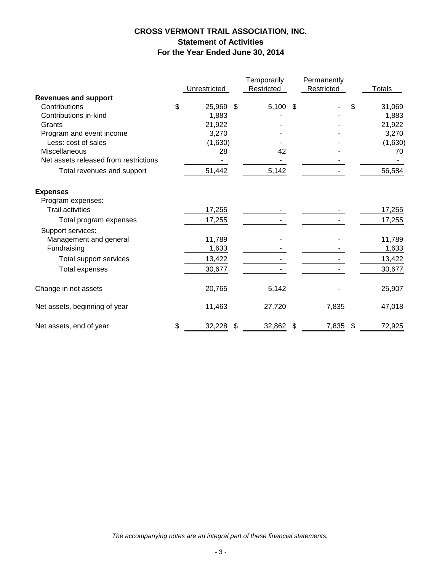# **CROSS VERMONT TRAIL ASSOCIATION, INC. Statement of Activities For the Year Ended June 30, 2014**

|                                       |                 | Temporarily  |     | Permanently |              |
|---------------------------------------|-----------------|--------------|-----|-------------|--------------|
|                                       | Unrestricted    | Restricted   |     | Restricted  | Totals       |
| <b>Revenues and support</b>           |                 |              |     |             |              |
| Contributions                         | \$<br>25,969 \$ | $5,100$ \$   |     |             | \$<br>31,069 |
| Contributions in-kind                 | 1,883           |              |     |             | 1,883        |
| Grants                                | 21,922          |              |     |             | 21,922       |
| Program and event income              | 3,270           |              |     |             | 3,270        |
| Less: cost of sales                   | (1,630)         |              |     |             | (1,630)      |
| <b>Miscellaneous</b>                  | 28              | 42           |     |             | 70           |
| Net assets released from restrictions |                 |              |     |             |              |
| Total revenues and support            | 51,442          | 5,142        |     |             | 56,584       |
| <b>Expenses</b>                       |                 |              |     |             |              |
| Program expenses:                     |                 |              |     |             |              |
| <b>Trail activities</b>               | 17,255          |              |     |             | 17,255       |
| Total program expenses                | 17,255          |              |     |             | 17,255       |
| Support services:                     |                 |              |     |             |              |
| Management and general                | 11,789          |              |     |             | 11,789       |
| Fundraising                           | 1,633           |              |     |             | 1,633        |
| Total support services                | 13,422          |              |     |             | 13,422       |
| <b>Total expenses</b>                 | 30,677          |              |     |             | 30,677       |
| Change in net assets                  | 20,765          | 5,142        |     |             | 25,907       |
| Net assets, beginning of year         | 11,463          | 27,720       |     | 7,835       | 47,018       |
| Net assets, end of year               | \$<br>32,228    | \$<br>32,862 | \$. | 7,835       | \$<br>72,925 |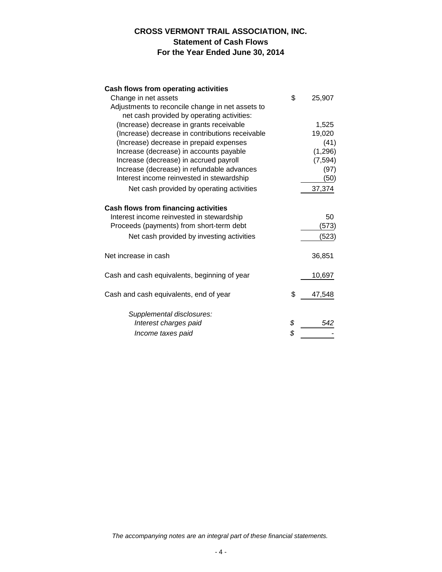# **CROSS VERMONT TRAIL ASSOCIATION, INC. Statement of Cash Flows For the Year Ended June 30, 2014**

# **Cash flows from operating activities**

| Change in net assets                             | \$<br>25,907 |  |
|--------------------------------------------------|--------------|--|
| Adjustments to reconcile change in net assets to |              |  |
| net cash provided by operating activities:       |              |  |
| (Increase) decrease in grants receivable         | 1,525        |  |
| (Increase) decrease in contributions receivable  | 19,020       |  |
| (Increase) decrease in prepaid expenses          | (41)         |  |
| Increase (decrease) in accounts payable          | (1, 296)     |  |
| Increase (decrease) in accrued payroll           | (7, 594)     |  |
| Increase (decrease) in refundable advances       | (97)         |  |
| Interest income reinvested in stewardship        | (50)         |  |
| Net cash provided by operating activities        | 37,374       |  |
| <b>Cash flows from financing activities</b>      |              |  |
| Interest income reinvested in stewardship        | 50           |  |
| Proceeds (payments) from short-term debt         | (573)        |  |
| Net cash provided by investing activities        | (523)        |  |
| Net increase in cash                             | 36,851       |  |
| Cash and cash equivalents, beginning of year     | 10,697       |  |
| Cash and cash equivalents, end of year           | \$<br>47,548 |  |
| Supplemental disclosures:                        |              |  |
| Interest charges paid                            | \$<br>542    |  |
| Income taxes paid                                | \$           |  |
|                                                  |              |  |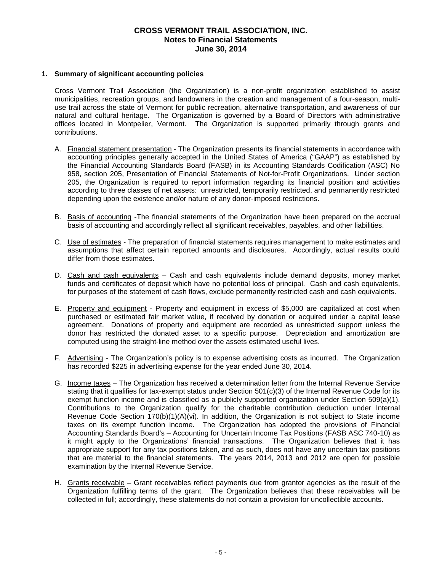## **CROSS VERMONT TRAIL ASSOCIATION, INC. Notes to Financial Statements June 30, 2014**

#### **1. Summary of significant accounting policies**

Cross Vermont Trail Association (the Organization) is a non-profit organization established to assist municipalities, recreation groups, and landowners in the creation and management of a four-season, multi use trail across the state of Vermont for public recreation, alternative transportation, and awareness of our natural and cultural heritage. The Organization is governed by a Board of Directors with administrative offices located in Montpelier, Vermont. The Organization is supported primarily through grants and contributions.

- A. Financial statement presentation The Organization presents its financial statements in accordance with accounting principles generally accepted in the United States of America ("GAAP") as established by the Financial Accounting Standards Board (FASB) in its Accounting Standards Codification (ASC) No 958, section 205, Presentation of Financial Statements of Not-for-Profit Organizations. Under section 205, the Organization is required to report information regarding its financial position and activities according to three classes of net assets: unrestricted, temporarily restricted, and permanently restricted depending upon the existence and/or nature of any donor-imposed restrictions.
- B. Basis of accounting -The financial statements of the Organization have been prepared on the accrual basis of accounting and accordingly reflect all significant receivables, payables, and other liabilities.
- C. Use of estimates The preparation of financial statements requires management to make estimates and assumptions that affect certain reported amounts and disclosures. Accordingly, actual results could differ from those estimates.
- D. Cash and cash equivalents Cash and cash equivalents include demand deposits, money market funds and certificates of deposit which have no potential loss of principal. Cash and cash equivalents, for purposes of the statement of cash flows, exclude permanently restricted cash and cash equivalents.
- E. Property and equipment Property and equipment in excess of \$5,000 are capitalized at cost when purchased or estimated fair market value, if received by donation or acquired under a capital lease agreement. Donations of property and equipment are recorded as unrestricted support unless the donor has restricted the donated asset to a specific purpose. Depreciation and amortization are computed using the straight-line method over the assets estimated useful lives.
- F. Advertising The Organization's policy is to expense advertising costs as incurred. The Organization has recorded \$225 in advertising expense for the year ended June 30, 2014.
- G. Income taxes The Organization has received a determination letter from the Internal Revenue Service stating that it qualifies for tax-exempt status under Section 501(c)(3) of the Internal Revenue Code for its exempt function income and is classified as a publicly supported organization under Section 509(a)(1). Contributions to the Organization qualify for the charitable contribution deduction under Internal Revenue Code Section  $170(b)(1)(A)(vi)$ . In addition, the Organization is not subject to State income taxes on its exempt function income. The Organization has adopted the provisions of Financial Accounting Standards Board's – Accounting for Uncertain Income Tax Positions (FASB ASC 740-10) as it might apply to the Organizations' financial transactions. The Organization believes that it has appropriate support for any tax positions taken, and as such, does not have any uncertain tax positions that are material to the financial statements. The years 2014, 2013 and 2012 are open for possible examination by the Internal Revenue Service.
- H. Grants receivable Grant receivables reflect payments due from grantor agencies as the result of the Organization fulfilling terms of the grant. The Organization believes that these receivables will be collected in full; accordingly, these statements do not contain a provision for uncollectible accounts.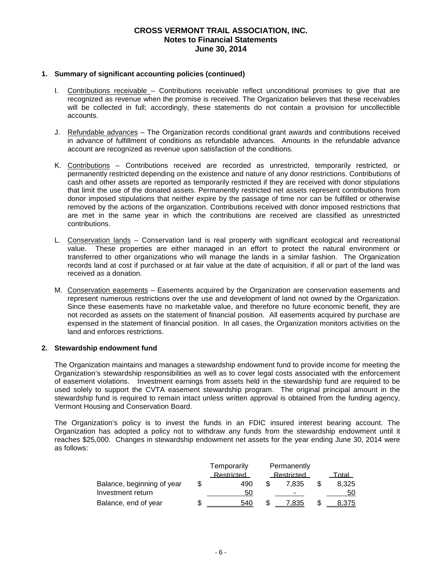## **CROSS VERMONT TRAIL ASSOCIATION, INC. Notes to Financial Statements June 30, 2014**

#### **1. Summary of significant accounting policies (continued)**

- I. Contributions receivable Contributions receivable reflect unconditional promises to give that are recognized as revenue when the promise is received. The Organization believes that these receivables will be collected in full; accordingly, these statements do not contain a provision for uncollectible accounts.
- J. Refundable advances The Organization records conditional grant awards and contributions received in advance of fulfillment of conditions as refundable advances. Amounts in the refundable advance account are recognized as revenue upon satisfaction of the conditions.
- K. Contributions Contributions received are recorded as unrestricted, temporarily restricted, or permanently restricted depending on the existence and nature of any donor restrictions. Contributions of cash and other assets are reported as temporarily restricted if they are received with donor stipulations that limit the use of the donated assets. Permanently restricted net assets represent contributions from donor imposed stipulations that neither expire by the passage of time nor can be fulfilled or otherwise removed by the actions of the organization. Contributions received with donor imposed restrictions that are met in the same year in which the contributions are received are classified as unrestricted contributions.
- L. Conservation lands Conservation land is real property with significant ecological and recreational value. These properties are either managed in an effort to protect the natural environment or transferred to other organizations who will manage the lands in a similar fashion. The Organization records land at cost if purchased or at fair value at the date of acquisition, if all or part of the land was received as a donation.
- M. Conservation easements Easements acquired by the Organization are conservation easements and represent numerous restrictions over the use and development of land not owned by the Organization. Since these easements have no marketable value, and therefore no future economic benefit, they are not recorded as assets on the statement of financial position. All easements acquired by purchase are expensed in the statement of financial position. In all cases, the Organization monitors activities on the land and enforces restrictions.

#### **2. Stewardship endowment fund**

The Organization maintains and manages a stewardship endowment fund to provide income for meeting the Organization's stewardship responsibilities as well as to cover legal costs associated with the enforcement of easement violations. Investment earnings from assets held in the stewardship fund are required to be used solely to support the CVTA easement stewardship program. The original principal amount in the stewardship fund is required to remain intact unless written approval is obtained from the funding agency, Vermont Housing and Conservation Board.

The Organization's policy is to invest the funds in an FDIC insured interest bearing account. The Organization has adopted a policy not to withdraw any funds from the stewardship endowment until it reaches \$25,000. Changes in stewardship endowment net assets for the year ending June 30, 2014 were as follows:

|                            | Temporarily | Permanently |            |       |
|----------------------------|-------------|-------------|------------|-------|
|                            | Restricted  |             | Restricted | Total |
| Balance, beginning of year | 490         |             | 7.835      | 8.325 |
| Investment return          | 50          |             |            | 50    |
| Balance, end of year       | 540         |             | 7.835      |       |